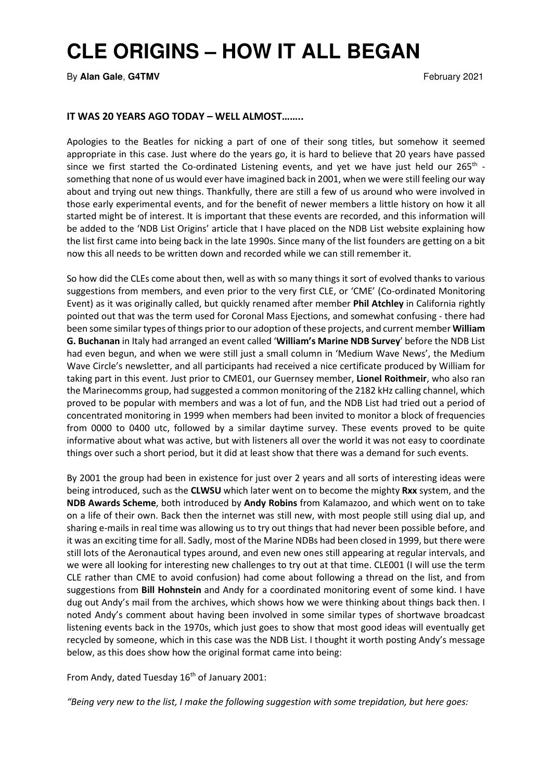## **CLE ORIGINS – HOW IT ALL BEGAN**

By **Alan Gale**, G4TMV **February 2021** 

## IT WAS 20 YEARS AGO TODAY – WELL ALMOST……..

Apologies to the Beatles for nicking a part of one of their song titles, but somehow it seemed appropriate in this case. Just where do the years go, it is hard to believe that 20 years have passed since we first started the Co-ordinated Listening events, and yet we have just held our  $265^{th}$  something that none of us would ever have imagined back in 2001, when we were still feeling our way about and trying out new things. Thankfully, there are still a few of us around who were involved in those early experimental events, and for the benefit of newer members a little history on how it all started might be of interest. It is important that these events are recorded, and this information will be added to the 'NDB List Origins' article that I have placed on the NDB List website explaining how the list first came into being back in the late 1990s. Since many of the list founders are getting on a bit now this all needs to be written down and recorded while we can still remember it.

So how did the CLEs come about then, well as with so many things it sort of evolved thanks to various suggestions from members, and even prior to the very first CLE, or 'CME' (Co-ordinated Monitoring Event) as it was originally called, but quickly renamed after member Phil Atchley in California rightly pointed out that was the term used for Coronal Mass Ejections, and somewhat confusing - there had been some similar types of things prior to our adoption of these projects, and current member William G. Buchanan in Italy had arranged an event called 'William's Marine NDB Survey' before the NDB List had even begun, and when we were still just a small column in 'Medium Wave News', the Medium Wave Circle's newsletter, and all participants had received a nice certificate produced by William for taking part in this event. Just prior to CME01, our Guernsey member, Lionel Roithmeir, who also ran the Marinecomms group, had suggested a common monitoring of the 2182 kHz calling channel, which proved to be popular with members and was a lot of fun, and the NDB List had tried out a period of concentrated monitoring in 1999 when members had been invited to monitor a block of frequencies from 0000 to 0400 utc, followed by a similar daytime survey. These events proved to be quite informative about what was active, but with listeners all over the world it was not easy to coordinate things over such a short period, but it did at least show that there was a demand for such events.

By 2001 the group had been in existence for just over 2 years and all sorts of interesting ideas were being introduced, such as the **CLWSU** which later went on to become the mighty **Rxx** system, and the NDB Awards Scheme, both introduced by Andy Robins from Kalamazoo, and which went on to take on a life of their own. Back then the internet was still new, with most people still using dial up, and sharing e-mails in real time was allowing us to try out things that had never been possible before, and it was an exciting time for all. Sadly, most of the Marine NDBs had been closed in 1999, but there were still lots of the Aeronautical types around, and even new ones still appearing at regular intervals, and we were all looking for interesting new challenges to try out at that time. CLE001 (I will use the term CLE rather than CME to avoid confusion) had come about following a thread on the list, and from suggestions from Bill Hohnstein and Andy for a coordinated monitoring event of some kind. I have dug out Andy's mail from the archives, which shows how we were thinking about things back then. I noted Andy's comment about having been involved in some similar types of shortwave broadcast listening events back in the 1970s, which just goes to show that most good ideas will eventually get recycled by someone, which in this case was the NDB List. I thought it worth posting Andy's message below, as this does show how the original format came into being:

From Andy, dated Tuesday 16<sup>th</sup> of January 2001:

"Being very new to the list, I make the following suggestion with some trepidation, but here goes: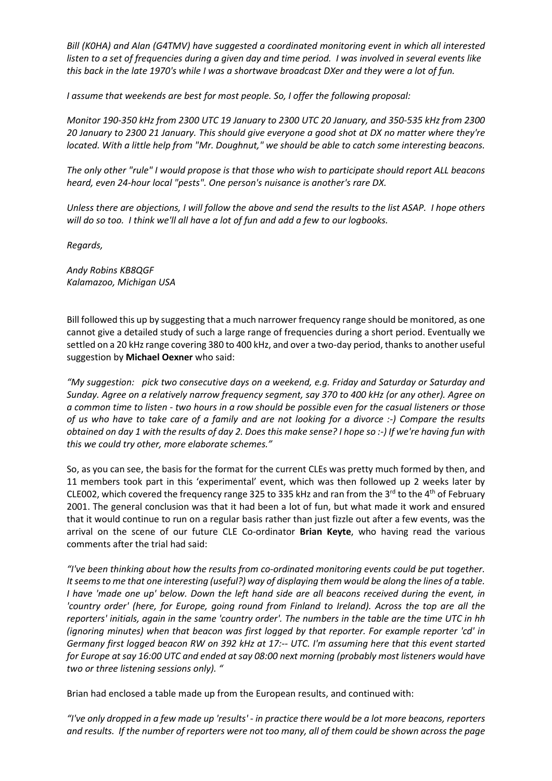Bill (K0HA) and Alan (G4TMV) have suggested a coordinated monitoring event in which all interested listen to a set of frequencies during a given day and time period. I was involved in several events like this back in the late 1970's while I was a shortwave broadcast DXer and they were a lot of fun.

I assume that weekends are best for most people. So, I offer the following proposal:

Monitor 190-350 kHz from 2300 UTC 19 January to 2300 UTC 20 January, and 350-535 kHz from 2300 20 January to 2300 21 January. This should give everyone a good shot at DX no matter where they're located. With a little help from "Mr. Doughnut," we should be able to catch some interesting beacons.

The only other "rule" I would propose is that those who wish to participate should report ALL beacons heard, even 24-hour local "pests". One person's nuisance is another's rare DX.

Unless there are objections, I will follow the above and send the results to the list ASAP. I hope others will do so too. I think we'll all have a lot of fun and add a few to our logbooks.

Regards,

Andy Robins KB8QGF Kalamazoo, Michigan USA

Bill followed this up by suggesting that a much narrower frequency range should be monitored, as one cannot give a detailed study of such a large range of frequencies during a short period. Eventually we settled on a 20 kHz range covering 380 to 400 kHz, and over a two-day period, thanks to another useful suggestion by Michael Oexner who said:

"My suggestion: pick two consecutive days on a weekend, e.g. Friday and Saturday or Saturday and Sunday. Agree on a relatively narrow frequency segment, say 370 to 400 kHz (or any other). Agree on a common time to listen - two hours in a row should be possible even for the casual listeners or those of us who have to take care of a family and are not looking for a divorce :-) Compare the results obtained on day 1 with the results of day 2. Does this make sense? I hope so :-) If we're having fun with this we could try other, more elaborate schemes."

So, as you can see, the basis for the format for the current CLEs was pretty much formed by then, and 11 members took part in this 'experimental' event, which was then followed up 2 weeks later by CLE002, which covered the frequency range 325 to 335 kHz and ran from the 3<sup>rd</sup> to the 4<sup>th</sup> of February 2001. The general conclusion was that it had been a lot of fun, but what made it work and ensured that it would continue to run on a regular basis rather than just fizzle out after a few events, was the arrival on the scene of our future CLE Co-ordinator Brian Keyte, who having read the various comments after the trial had said:

"I've been thinking about how the results from co-ordinated monitoring events could be put together. It seems to me that one interesting (useful?) way of displaying them would be along the lines of a table. I have 'made one up' below. Down the left hand side are all beacons received during the event, in 'country order' (here, for Europe, going round from Finland to Ireland). Across the top are all the reporters' initials, again in the same 'country order'. The numbers in the table are the time UTC in hh (ignoring minutes) when that beacon was first logged by that reporter. For example reporter 'cd' in Germany first logged beacon RW on 392 kHz at 17:-- UTC. I'm assuming here that this event started for Europe at say 16:00 UTC and ended at say 08:00 next morning (probably most listeners would have two or three listening sessions only). "

Brian had enclosed a table made up from the European results, and continued with:

"I've only dropped in a few made up 'results' - in practice there would be a lot more beacons, reporters and results. If the number of reporters were not too many, all of them could be shown across the page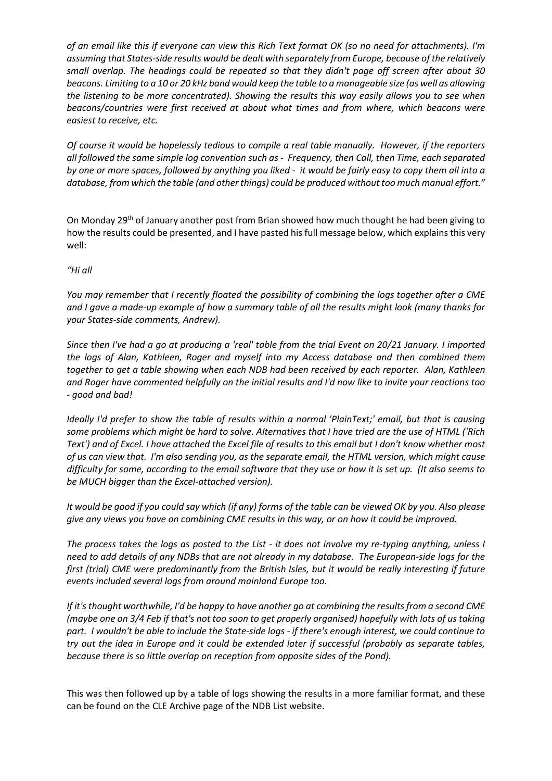of an email like this if everyone can view this Rich Text format OK (so no need for attachments). I'm assuming that States-side results would be dealt with separately from Europe, because of the relatively small overlap. The headings could be repeated so that they didn't page off screen after about 30 beacons. Limiting to a 10 or 20 kHz band would keep the table to a manageable size (as well as allowing the listening to be more concentrated). Showing the results this way easily allows you to see when beacons/countries were first received at about what times and from where, which beacons were easiest to receive, etc.

Of course it would be hopelessly tedious to compile a real table manually. However, if the reporters all followed the same simple log convention such as - Frequency, then Call, then Time, each separated by one or more spaces, followed by anything you liked - it would be fairly easy to copy them all into a database, from which the table (and other things) could be produced without too much manual effort."

On Monday 29<sup>th</sup> of January another post from Brian showed how much thought he had been giving to how the results could be presented, and I have pasted his full message below, which explains this very well:

"Hi all

You may remember that I recently floated the possibility of combining the logs together after a CME and I gave a made-up example of how a summary table of all the results might look (many thanks for your States-side comments, Andrew).

Since then I've had a go at producing a 'real' table from the trial Event on 20/21 January. I imported the logs of Alan, Kathleen, Roger and myself into my Access database and then combined them together to get a table showing when each NDB had been received by each reporter. Alan, Kathleen and Roger have commented helpfully on the initial results and I'd now like to invite your reactions too - good and bad!

Ideally I'd prefer to show the table of results within a normal 'PlainText;' email, but that is causing some problems which might be hard to solve. Alternatives that I have tried are the use of HTML ('Rich Text') and of Excel. I have attached the Excel file of results to this email but I don't know whether most of us can view that. I'm also sending you, as the separate email, the HTML version, which might cause difficulty for some, according to the email software that they use or how it is set up. (It also seems to be MUCH bigger than the Excel-attached version).

It would be good if you could say which (if any) forms of the table can be viewed OK by you. Also please give any views you have on combining CME results in this way, or on how it could be improved.

The process takes the logs as posted to the List - it does not involve my re-typing anything, unless I need to add details of any NDBs that are not already in my database. The European-side logs for the first (trial) CME were predominantly from the British Isles, but it would be really interesting if future events included several logs from around mainland Europe too.

If it's thought worthwhile, I'd be happy to have another go at combining the results from a second CME (maybe one on 3/4 Feb if that's not too soon to get properly organised) hopefully with lots of us taking part. I wouldn't be able to include the State-side logs - if there's enough interest, we could continue to try out the idea in Europe and it could be extended later if successful (probably as separate tables, because there is so little overlap on reception from opposite sides of the Pond).

This was then followed up by a table of logs showing the results in a more familiar format, and these can be found on the CLE Archive page of the NDB List website.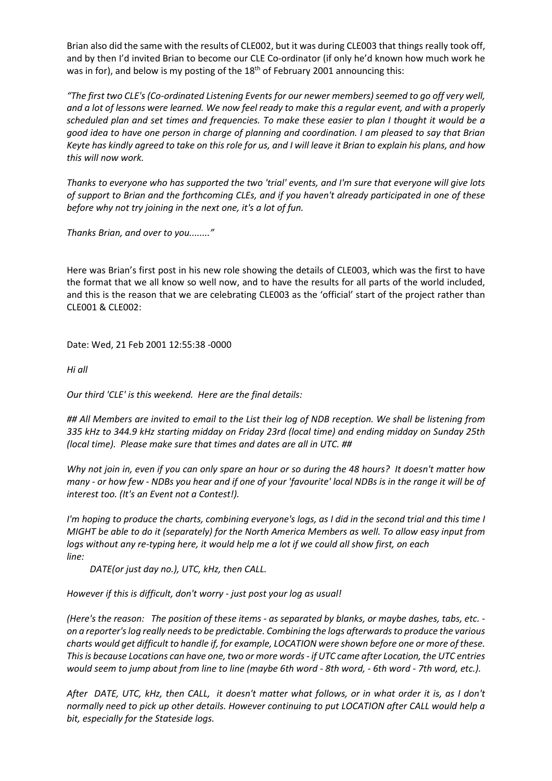Brian also did the same with the results of CLE002, but it was during CLE003 that things really took off, and by then I'd invited Brian to become our CLE Co-ordinator (if only he'd known how much work he was in for), and below is my posting of the 18<sup>th</sup> of February 2001 announcing this:

"The first two CLE's (Co-ordinated Listening Events for our newer members) seemed to go off very well, and a lot of lessons were learned. We now feel ready to make this a regular event, and with a properly scheduled plan and set times and frequencies. To make these easier to plan I thought it would be a good idea to have one person in charge of planning and coordination. I am pleased to say that Brian Keyte has kindly agreed to take on this role for us, and I will leave it Brian to explain his plans, and how this will now work.

Thanks to everyone who has supported the two 'trial' events, and I'm sure that everyone will give lots of support to Brian and the forthcoming CLEs, and if you haven't already participated in one of these before why not try joining in the next one, it's a lot of fun.

Thanks Brian, and over to you........"

Here was Brian's first post in his new role showing the details of CLE003, which was the first to have the format that we all know so well now, and to have the results for all parts of the world included, and this is the reason that we are celebrating CLE003 as the 'official' start of the project rather than CLE001 & CLE002:

Date: Wed, 21 Feb 2001 12:55:38 -0000

Hi all

Our third 'CLE' is this weekend. Here are the final details:

## All Members are invited to email to the List their log of NDB reception. We shall be listening from 335 kHz to 344.9 kHz starting midday on Friday 23rd (local time) and ending midday on Sunday 25th (local time). Please make sure that times and dates are all in UTC. ##

Why not join in, even if you can only spare an hour or so during the 48 hours? It doesn't matter how many - or how few - NDBs you hear and if one of your 'favourite' local NDBs is in the range it will be of interest too. (It's an Event not a Contest!).

I'm hoping to produce the charts, combining everyone's logs, as I did in the second trial and this time I MIGHT be able to do it (separately) for the North America Members as well. To allow easy input from logs without any re-typing here, it would help me a lot if we could all show first, on each line:

DATE(or just day no.), UTC, kHz, then CALL.

However if this is difficult, don't worry - just post your log as usual!

(Here's the reason: The position of these items - as separated by blanks, or maybe dashes, tabs, etc. on a reporter's log really needs to be predictable. Combining the logs afterwards to produce the various charts would get difficult to handle if, for example, LOCATION were shown before one or more of these. This is because Locations can have one, two or more words - if UTC came after Location, the UTC entries would seem to jump about from line to line (maybe 6th word - 8th word, - 6th word - 7th word, etc.).

After DATE, UTC, kHz, then CALL, it doesn't matter what follows, or in what order it is, as I don't normally need to pick up other details. However continuing to put LOCATION after CALL would help a bit, especially for the Stateside logs.